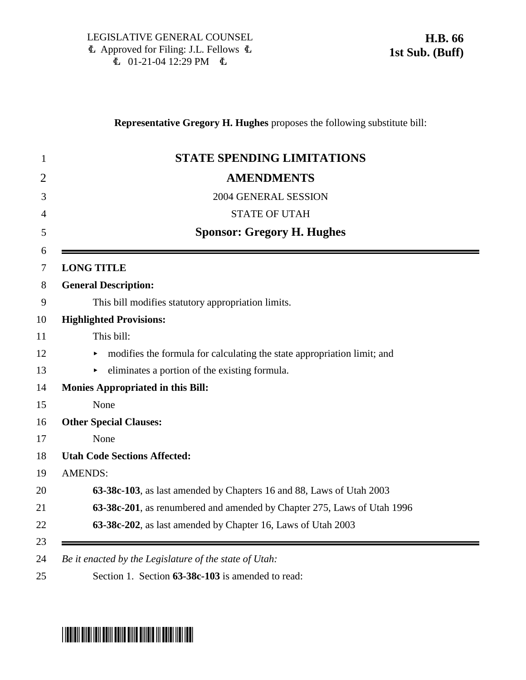### **Representative Gregory H. Hughes** proposes the following substitute bill:

| <b>STATE SPENDING LIMITATIONS</b>                                       |
|-------------------------------------------------------------------------|
| <b>AMENDMENTS</b>                                                       |
| 2004 GENERAL SESSION                                                    |
| <b>STATE OF UTAH</b>                                                    |
| <b>Sponsor: Gregory H. Hughes</b>                                       |
| <b>LONG TITLE</b>                                                       |
| <b>General Description:</b>                                             |
| This bill modifies statutory appropriation limits.                      |
| <b>Highlighted Provisions:</b>                                          |
| This bill:                                                              |
| modifies the formula for calculating the state appropriation limit; and |
| eliminates a portion of the existing formula.                           |
| <b>Monies Appropriated in this Bill:</b>                                |
| None                                                                    |
| <b>Other Special Clauses:</b>                                           |
| None                                                                    |
| <b>Utah Code Sections Affected:</b>                                     |
| <b>AMENDS:</b>                                                          |
| 63-38c-103, as last amended by Chapters 16 and 88, Laws of Utah 2003    |
| 63-38c-201, as renumbered and amended by Chapter 275, Laws of Utah 1996 |
| 63-38c-202, as last amended by Chapter 16, Laws of Utah 2003            |

# \*HB0066S01\*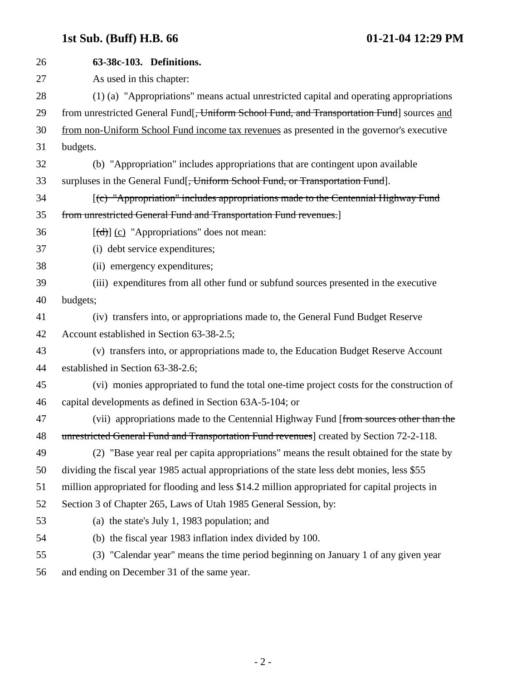## **1st Sub. (Buff) H.B. 66 01-21-04 12:29 PM**

| 26 | 63-38c-103. Definitions.                                                                                                                                                                                                                                                                                                                                                                                                                                                                   |
|----|--------------------------------------------------------------------------------------------------------------------------------------------------------------------------------------------------------------------------------------------------------------------------------------------------------------------------------------------------------------------------------------------------------------------------------------------------------------------------------------------|
| 27 | As used in this chapter:                                                                                                                                                                                                                                                                                                                                                                                                                                                                   |
| 28 | (1) (a) "Appropriations" means actual unrestricted capital and operating appropriations                                                                                                                                                                                                                                                                                                                                                                                                    |
| 29 | from unrestricted General Fund <sup>[</sup> , Uniform School Fund, and Transportation Fund] sources and                                                                                                                                                                                                                                                                                                                                                                                    |
| 30 | from non-Uniform School Fund income tax revenues as presented in the governor's executive                                                                                                                                                                                                                                                                                                                                                                                                  |
| 31 | budgets.                                                                                                                                                                                                                                                                                                                                                                                                                                                                                   |
| 32 | (b) "Appropriation" includes appropriations that are contingent upon available                                                                                                                                                                                                                                                                                                                                                                                                             |
| 33 | surpluses in the General Fund <del>[, Uniform School Fund, or Transportation Fund</del> ].                                                                                                                                                                                                                                                                                                                                                                                                 |
| 34 | [(c) "Appropriation" includes appropriations made to the Centennial Highway Fund                                                                                                                                                                                                                                                                                                                                                                                                           |
| 35 | from unrestricted General Fund and Transportation Fund revenues.]                                                                                                                                                                                                                                                                                                                                                                                                                          |
| 36 | $[\text{d} \cdot \text{d} \cdot \text{d} \cdot \text{d} \cdot \text{d} \cdot \text{d} \cdot \text{d} \cdot \text{d} \cdot \text{d} \cdot \text{d} \cdot \text{d} \cdot \text{d} \cdot \text{d} \cdot \text{d} \cdot \text{d} \cdot \text{d} \cdot \text{d} \cdot \text{d} \cdot \text{d} \cdot \text{d} \cdot \text{d} \cdot \text{d} \cdot \text{d} \cdot \text{d} \cdot \text{d} \cdot \text{d} \cdot \text{d} \cdot \text{d} \cdot \text{d} \cdot \text{d} \cdot \text{d} \cdot \text{$ |
| 37 | (i) debt service expenditures;                                                                                                                                                                                                                                                                                                                                                                                                                                                             |
| 38 | (ii) emergency expenditures;                                                                                                                                                                                                                                                                                                                                                                                                                                                               |
| 39 | (iii) expenditures from all other fund or subfund sources presented in the executive                                                                                                                                                                                                                                                                                                                                                                                                       |
| 40 | budgets;                                                                                                                                                                                                                                                                                                                                                                                                                                                                                   |
| 41 | (iv) transfers into, or appropriations made to, the General Fund Budget Reserve                                                                                                                                                                                                                                                                                                                                                                                                            |
| 42 | Account established in Section 63-38-2.5;                                                                                                                                                                                                                                                                                                                                                                                                                                                  |
| 43 | (v) transfers into, or appropriations made to, the Education Budget Reserve Account                                                                                                                                                                                                                                                                                                                                                                                                        |
| 44 | established in Section 63-38-2.6;                                                                                                                                                                                                                                                                                                                                                                                                                                                          |
| 45 | (vi) monies appropriated to fund the total one-time project costs for the construction of                                                                                                                                                                                                                                                                                                                                                                                                  |
| 46 | capital developments as defined in Section 63A-5-104; or                                                                                                                                                                                                                                                                                                                                                                                                                                   |
| 47 | (vii) appropriations made to the Centennial Highway Fund [from sources other than the                                                                                                                                                                                                                                                                                                                                                                                                      |
| 48 | unrestricted General Fund and Transportation Fund revenues] created by Section 72-2-118.                                                                                                                                                                                                                                                                                                                                                                                                   |
| 49 | (2) "Base year real per capita appropriations" means the result obtained for the state by                                                                                                                                                                                                                                                                                                                                                                                                  |
| 50 | dividing the fiscal year 1985 actual appropriations of the state less debt monies, less \$55                                                                                                                                                                                                                                                                                                                                                                                               |
| 51 | million appropriated for flooding and less \$14.2 million appropriated for capital projects in                                                                                                                                                                                                                                                                                                                                                                                             |
| 52 | Section 3 of Chapter 265, Laws of Utah 1985 General Session, by:                                                                                                                                                                                                                                                                                                                                                                                                                           |
| 53 | (a) the state's July 1, 1983 population; and                                                                                                                                                                                                                                                                                                                                                                                                                                               |
| 54 | (b) the fiscal year 1983 inflation index divided by 100.                                                                                                                                                                                                                                                                                                                                                                                                                                   |
| 55 | (3) "Calendar year" means the time period beginning on January 1 of any given year                                                                                                                                                                                                                                                                                                                                                                                                         |
| 56 | and ending on December 31 of the same year.                                                                                                                                                                                                                                                                                                                                                                                                                                                |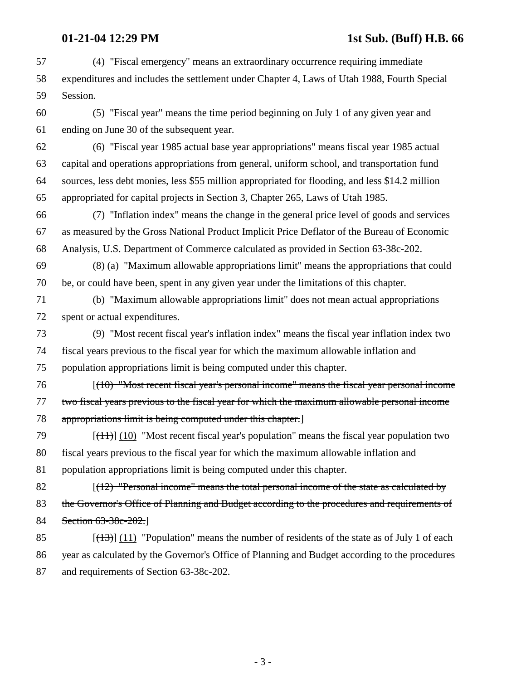### **01-21-04 12:29 PM** 1st Sub. (Buff) H.B. 66

- 57 (4) "Fiscal emergency" means an extraordinary occurrence requiring immediate 58 expenditures and includes the settlement under Chapter 4, Laws of Utah 1988, Fourth Special 59 Session.
- 60 (5) "Fiscal year" means the time period beginning on July 1 of any given year and 61 ending on June 30 of the subsequent year.
- 62 (6) "Fiscal year 1985 actual base year appropriations" means fiscal year 1985 actual 63 capital and operations appropriations from general, uniform school, and transportation fund 64 sources, less debt monies, less \$55 million appropriated for flooding, and less \$14.2 million 65 appropriated for capital projects in Section 3, Chapter 265, Laws of Utah 1985.
- 66 (7) "Inflation index" means the change in the general price level of goods and services 67 as measured by the Gross National Product Implicit Price Deflator of the Bureau of Economic 68 Analysis, U.S. Department of Commerce calculated as provided in Section 63-38c-202.
- 69 (8) (a) "Maximum allowable appropriations limit" means the appropriations that could 70 be, or could have been, spent in any given year under the limitations of this chapter.
- 71 (b) "Maximum allowable appropriations limit" does not mean actual appropriations 72 spent or actual expenditures.
- 73 (9) "Most recent fiscal year's inflation index" means the fiscal year inflation index two 74 fiscal years previous to the fiscal year for which the maximum allowable inflation and 75 population appropriations limit is being computed under this chapter.
- 76 [(10) "Most recent fiscal year's personal income" means the fiscal year personal income 77 two fiscal years previous to the fiscal year for which the maximum allowable personal income
- 78 appropriations limit is being computed under this chapter.]
- 79  $[(11)]$  (10) "Most recent fiscal year's population" means the fiscal year population two 80 fiscal years previous to the fiscal year for which the maximum allowable inflation and 81 population appropriations limit is being computed under this chapter.
- 82 [(12) "Personal income" means the total personal income of the state as calculated by 83 the Governor's Office of Planning and Budget according to the procedures and requirements of 84 Section 63-38c-202.
- 85  $[(13)] (11)$  "Population" means the number of residents of the state as of July 1 of each 86 year as calculated by the Governor's Office of Planning and Budget according to the procedures 87 and requirements of Section 63-38c-202.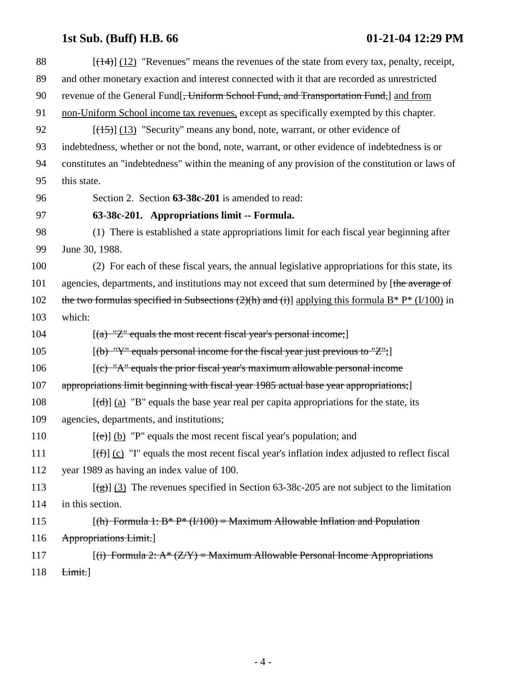## **1st Sub. (Buff) H.B. 66 01-21-04 12:29 PM**

| 88  | $[(14)]$ (12) "Revenues" means the revenues of the state from every tax, penalty, receipt,                                                                                                                                                                                                                                                                                                                                                                                                 |
|-----|--------------------------------------------------------------------------------------------------------------------------------------------------------------------------------------------------------------------------------------------------------------------------------------------------------------------------------------------------------------------------------------------------------------------------------------------------------------------------------------------|
| 89  | and other monetary exaction and interest connected with it that are recorded as unrestricted                                                                                                                                                                                                                                                                                                                                                                                               |
| 90  | revenue of the General Fund[ <del>, Uniform School Fund, and Transportation Fund,</del> ] and from                                                                                                                                                                                                                                                                                                                                                                                         |
| 91  | non-Uniform School income tax revenues, except as specifically exempted by this chapter.                                                                                                                                                                                                                                                                                                                                                                                                   |
| 92  | $[ (15) ] (13)$ "Security" means any bond, note, warrant, or other evidence of                                                                                                                                                                                                                                                                                                                                                                                                             |
| 93  | indebtedness, whether or not the bond, note, warrant, or other evidence of indebtedness is or                                                                                                                                                                                                                                                                                                                                                                                              |
| 94  | constitutes an "indebtedness" within the meaning of any provision of the constitution or laws of                                                                                                                                                                                                                                                                                                                                                                                           |
| 95  | this state.                                                                                                                                                                                                                                                                                                                                                                                                                                                                                |
| 96  | Section 2. Section 63-38c-201 is amended to read:                                                                                                                                                                                                                                                                                                                                                                                                                                          |
| 97  | 63-38c-201. Appropriations limit -- Formula.                                                                                                                                                                                                                                                                                                                                                                                                                                               |
| 98  | (1) There is established a state appropriations limit for each fiscal year beginning after                                                                                                                                                                                                                                                                                                                                                                                                 |
| 99  | June 30, 1988.                                                                                                                                                                                                                                                                                                                                                                                                                                                                             |
| 100 | (2) For each of these fiscal years, the annual legislative appropriations for this state, its                                                                                                                                                                                                                                                                                                                                                                                              |
| 101 | agencies, departments, and institutions may not exceed that sum determined by [the average of                                                                                                                                                                                                                                                                                                                                                                                              |
| 102 | the two formulas specified in Subsections (2)(h) and (i)] applying this formula $B^* P^* (1/100)$ in                                                                                                                                                                                                                                                                                                                                                                                       |
| 103 | which:                                                                                                                                                                                                                                                                                                                                                                                                                                                                                     |
| 104 | $[(a)$ "Z" equals the most recent fiscal year's personal income;                                                                                                                                                                                                                                                                                                                                                                                                                           |
| 105 | [(b) "Y" equals personal income for the fiscal year just previous to "Z";]                                                                                                                                                                                                                                                                                                                                                                                                                 |
| 106 | $[$ (c) "A" equals the prior fiscal year's maximum allowable personal income                                                                                                                                                                                                                                                                                                                                                                                                               |
| 107 | appropriations limit beginning with fiscal year 1985 actual base year appropriations;                                                                                                                                                                                                                                                                                                                                                                                                      |
| 108 | $[\text{d} \cdot \text{d} \cdot \text{d} \cdot \text{d} \cdot \text{d} \cdot \text{d} \cdot \text{d} \cdot \text{d} \cdot \text{d} \cdot \text{d} \cdot \text{d} \cdot \text{d} \cdot \text{d} \cdot \text{d} \cdot \text{d} \cdot \text{d} \cdot \text{d} \cdot \text{d} \cdot \text{d} \cdot \text{d} \cdot \text{d} \cdot \text{d} \cdot \text{d} \cdot \text{d} \cdot \text{d} \cdot \text{d} \cdot \text{d} \cdot \text{d} \cdot \text{d} \cdot \text{d} \cdot \text{d} \cdot \text{$ |
| 109 | agencies, departments, and institutions;                                                                                                                                                                                                                                                                                                                                                                                                                                                   |
| 110 | $[\text{e} \Theta]$ (b) "P" equals the most recent fiscal year's population; and                                                                                                                                                                                                                                                                                                                                                                                                           |
| 111 | $[\text{f} \text{f} \text{f}]$ (c) "I" equals the most recent fiscal year's inflation index adjusted to reflect fiscal                                                                                                                                                                                                                                                                                                                                                                     |
| 112 | year 1989 as having an index value of 100.                                                                                                                                                                                                                                                                                                                                                                                                                                                 |
| 113 | $[\frac{1}{2}]$ (3) The revenues specified in Section 63-38c-205 are not subject to the limitation                                                                                                                                                                                                                                                                                                                                                                                         |
| 114 | in this section.                                                                                                                                                                                                                                                                                                                                                                                                                                                                           |
| 115 | $(fth)$ Formula 1: B* P* ( $V$ 100) = Maximum Allowable Inflation and Population                                                                                                                                                                                                                                                                                                                                                                                                           |
| 116 | <b>Appropriations Limit.</b>                                                                                                                                                                                                                                                                                                                                                                                                                                                               |
| 117 | $[(i)$ Formula 2: A* $(Z/Y)$ = Maximum Allowable Personal Income Appropriations                                                                                                                                                                                                                                                                                                                                                                                                            |
| 118 | Limit.]                                                                                                                                                                                                                                                                                                                                                                                                                                                                                    |